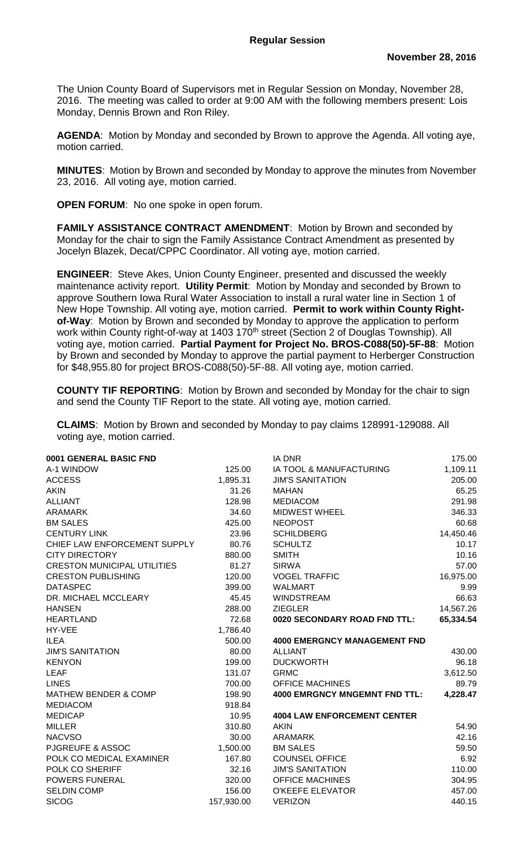The Union County Board of Supervisors met in Regular Session on Monday, November 28, 2016. The meeting was called to order at 9:00 AM with the following members present: Lois Monday, Dennis Brown and Ron Riley.

**AGENDA**: Motion by Monday and seconded by Brown to approve the Agenda. All voting aye, motion carried.

**MINUTES**: Motion by Brown and seconded by Monday to approve the minutes from November 23, 2016. All voting aye, motion carried.

**OPEN FORUM**: No one spoke in open forum.

**FAMILY ASSISTANCE CONTRACT AMENDMENT**: Motion by Brown and seconded by Monday for the chair to sign the Family Assistance Contract Amendment as presented by Jocelyn Blazek, Decat/CPPC Coordinator. All voting aye, motion carried.

**ENGINEER**: Steve Akes, Union County Engineer, presented and discussed the weekly maintenance activity report. **Utility Permit**: Motion by Monday and seconded by Brown to approve Southern Iowa Rural Water Association to install a rural water line in Section 1 of New Hope Township. All voting aye, motion carried. **Permit to work within County Rightof-Way**: Motion by Brown and seconded by Monday to approve the application to perform work within County right-of-way at 1403 170<sup>th</sup> street (Section 2 of Douglas Township). All voting aye, motion carried. **Partial Payment for Project No. BROS-C088(50)-5F-88**: Motion by Brown and seconded by Monday to approve the partial payment to Herberger Construction for \$48,955.80 for project BROS-C088(50)-5F-88. All voting aye, motion carried.

**COUNTY TIF REPORTING**: Motion by Brown and seconded by Monday for the chair to sign and send the County TIF Report to the state. All voting aye, motion carried.

**CLAIMS**: Motion by Brown and seconded by Monday to pay claims 128991-129088. All voting aye, motion carried.

| 0001 GENERAL BASIC FND             |            | <b>IA DNR</b>                        | 175.00    |
|------------------------------------|------------|--------------------------------------|-----------|
| A-1 WINDOW                         | 125.00     | IA TOOL & MANUFACTURING              | 1,109.11  |
| <b>ACCESS</b>                      | 1,895.31   | <b>JIM'S SANITATION</b>              | 205.00    |
| <b>AKIN</b>                        | 31.26      | <b>MAHAN</b>                         | 65.25     |
| <b>ALLIANT</b>                     | 128.98     | <b>MEDIACOM</b>                      | 291.98    |
| <b>ARAMARK</b>                     | 34.60      | <b>MIDWEST WHEEL</b>                 | 346.33    |
| <b>BM SALES</b>                    | 425.00     | <b>NEOPOST</b>                       | 60.68     |
| <b>CENTURY LINK</b>                | 23.96      | <b>SCHILDBERG</b>                    | 14,450.46 |
| CHIEF LAW ENFORCEMENT SUPPLY       | 80.76      | <b>SCHULTZ</b>                       | 10.17     |
| <b>CITY DIRECTORY</b>              | 880.00     | <b>SMITH</b>                         | 10.16     |
| <b>CRESTON MUNICIPAL UTILITIES</b> | 81.27      | <b>SIRWA</b>                         | 57.00     |
| <b>CRESTON PUBLISHING</b>          | 120.00     | <b>VOGEL TRAFFIC</b>                 | 16,975.00 |
| <b>DATASPEC</b>                    | 399.00     | <b>WALMART</b>                       | 9.99      |
| DR. MICHAEL MCCLEARY               | 45.45      | <b>WINDSTREAM</b>                    | 66.63     |
| <b>HANSEN</b>                      | 288.00     | <b>ZIEGLER</b>                       | 14,567.26 |
| <b>HEARTLAND</b>                   | 72.68      | 0020 SECONDARY ROAD FND TTL:         | 65,334.54 |
| HY-VEE                             | 1,786.40   |                                      |           |
| <b>ILEA</b>                        | 500.00     | <b>4000 EMERGNCY MANAGEMENT FND</b>  |           |
| <b>JIM'S SANITATION</b>            | 80.00      | <b>ALLIANT</b>                       | 430.00    |
| <b>KENYON</b>                      | 199.00     | <b>DUCKWORTH</b>                     | 96.18     |
| <b>LEAF</b>                        | 131.07     | <b>GRMC</b>                          | 3,612.50  |
| <b>LINES</b>                       | 700.00     | <b>OFFICE MACHINES</b>               | 89.79     |
| <b>MATHEW BENDER &amp; COMP</b>    | 198.90     | <b>4000 EMRGNCY MNGEMNT FND TTL:</b> | 4,228.47  |
| <b>MEDIACOM</b>                    | 918.84     |                                      |           |
| <b>MEDICAP</b>                     | 10.95      | <b>4004 LAW ENFORCEMENT CENTER</b>   |           |
| <b>MILLER</b>                      | 310.80     | <b>AKIN</b>                          | 54.90     |
| <b>NACVSO</b>                      | 30.00      | <b>ARAMARK</b>                       | 42.16     |
| <b>PJGREUFE &amp; ASSOC</b>        | 1,500.00   | <b>BM SALES</b>                      | 59.50     |
| POLK CO MEDICAL EXAMINER           | 167.80     | <b>COUNSEL OFFICE</b>                | 6.92      |
| POLK CO SHERIFF                    | 32.16      | <b>JIM'S SANITATION</b>              | 110.00    |
| <b>POWERS FUNERAL</b>              | 320.00     | <b>OFFICE MACHINES</b>               | 304.95    |
| <b>SELDIN COMP</b>                 | 156.00     | <b>O'KEEFE ELEVATOR</b>              | 457.00    |
| <b>SICOG</b>                       | 157,930.00 | <b>VERIZON</b>                       | 440.15    |